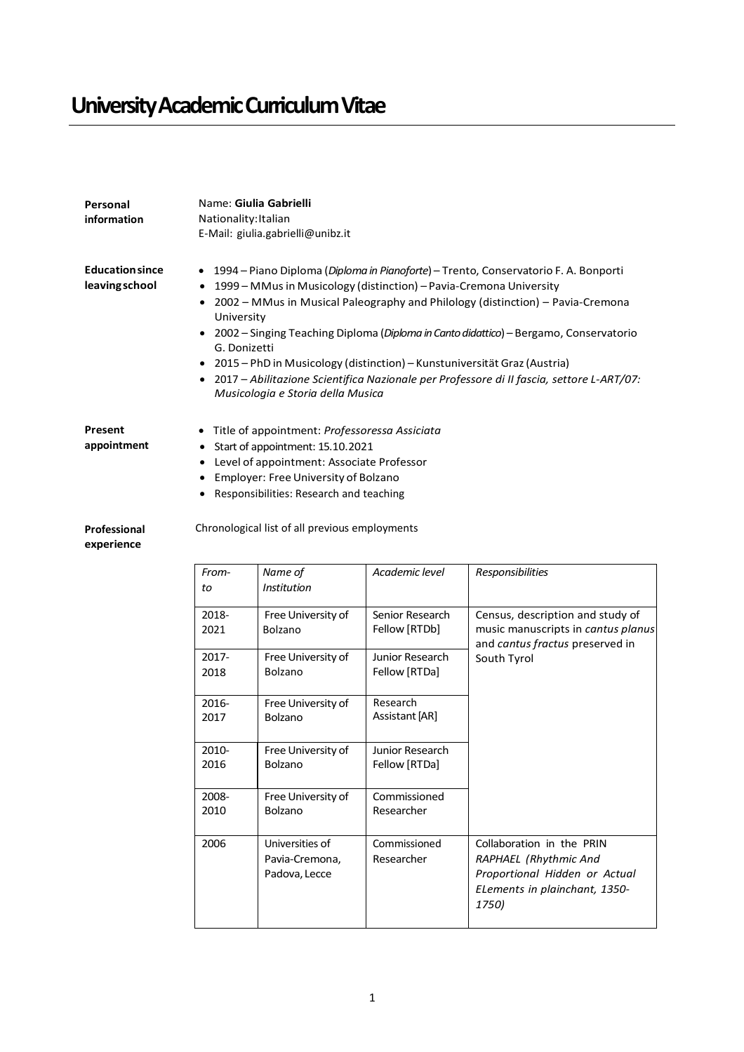## **University Academic Curriculum Vitae**

| Personal<br>information                  | Name: Giulia Gabrielli<br>Nationality: Italian<br>E-Mail: giulia.gabrielli@unibz.it                                                                                                                                                                                                                                                                                                                                                                                                                                                                                                     |                                                    |                                  |                                                                                                                               |  |
|------------------------------------------|-----------------------------------------------------------------------------------------------------------------------------------------------------------------------------------------------------------------------------------------------------------------------------------------------------------------------------------------------------------------------------------------------------------------------------------------------------------------------------------------------------------------------------------------------------------------------------------------|----------------------------------------------------|----------------------------------|-------------------------------------------------------------------------------------------------------------------------------|--|
| <b>Education since</b><br>leaving school | • 1994 – Piano Diploma (Diploma in Pianoforte) – Trento, Conservatorio F. A. Bonporti<br>1999 – MMus in Musicology (distinction) – Pavia-Cremona University<br>• 2002 - MMus in Musical Paleography and Philology (distinction) - Pavia-Cremona<br>University<br>• 2002 – Singing Teaching Diploma (Diploma in Canto didattico) – Bergamo, Conservatorio<br>G. Donizetti<br>2015 – PhD in Musicology (distinction) – Kunstuniversität Graz (Austria)<br>• 2017 - Abilitazione Scientifica Nazionale per Professore di II fascia, settore L-ART/07:<br>Musicologia e Storia della Musica |                                                    |                                  |                                                                                                                               |  |
| Present<br>appointment                   | Title of appointment: Professoressa Assiciata<br>Start of appointment: 15.10.2021<br>٠<br>Level of appointment: Associate Professor<br>٠<br>Employer: Free University of Bolzano<br>Responsibilities: Research and teaching                                                                                                                                                                                                                                                                                                                                                             |                                                    |                                  |                                                                                                                               |  |
| Professional<br>experience               |                                                                                                                                                                                                                                                                                                                                                                                                                                                                                                                                                                                         | Chronological list of all previous employments     |                                  |                                                                                                                               |  |
|                                          | From-<br>to                                                                                                                                                                                                                                                                                                                                                                                                                                                                                                                                                                             | Name of<br><b>Institution</b>                      | Academic level                   | Responsibilities                                                                                                              |  |
|                                          | 2018-<br>2021                                                                                                                                                                                                                                                                                                                                                                                                                                                                                                                                                                           | Free University of<br>Bolzano                      | Senior Research<br>Fellow [RTDb] | Census, description and study of<br>music manuscripts in cantus planus<br>and cantus fractus preserved in<br>South Tyrol      |  |
|                                          | 2017-<br>2018                                                                                                                                                                                                                                                                                                                                                                                                                                                                                                                                                                           | Free University of<br>Bolzano                      | Junior Research<br>Fellow [RTDa] |                                                                                                                               |  |
|                                          | 2016-<br>2017                                                                                                                                                                                                                                                                                                                                                                                                                                                                                                                                                                           | Free University of<br>Bolzano                      | Research<br>Assistant [AR]       |                                                                                                                               |  |
|                                          | 2010-<br>2016                                                                                                                                                                                                                                                                                                                                                                                                                                                                                                                                                                           | Free University of<br><b>Bolzano</b>               | Junior Research<br>Fellow [RTDa] |                                                                                                                               |  |
|                                          | 2008-<br>2010                                                                                                                                                                                                                                                                                                                                                                                                                                                                                                                                                                           | Free University of<br>Bolzano                      | Commissioned<br>Researcher       |                                                                                                                               |  |
|                                          | 2006                                                                                                                                                                                                                                                                                                                                                                                                                                                                                                                                                                                    | Universities of<br>Pavia-Cremona,<br>Padova, Lecce | Commissioned<br>Researcher       | Collaboration in the PRIN<br>RAPHAEL (Rhythmic And<br>Proportional Hidden or Actual<br>ELements in plainchant, 1350-<br>1750) |  |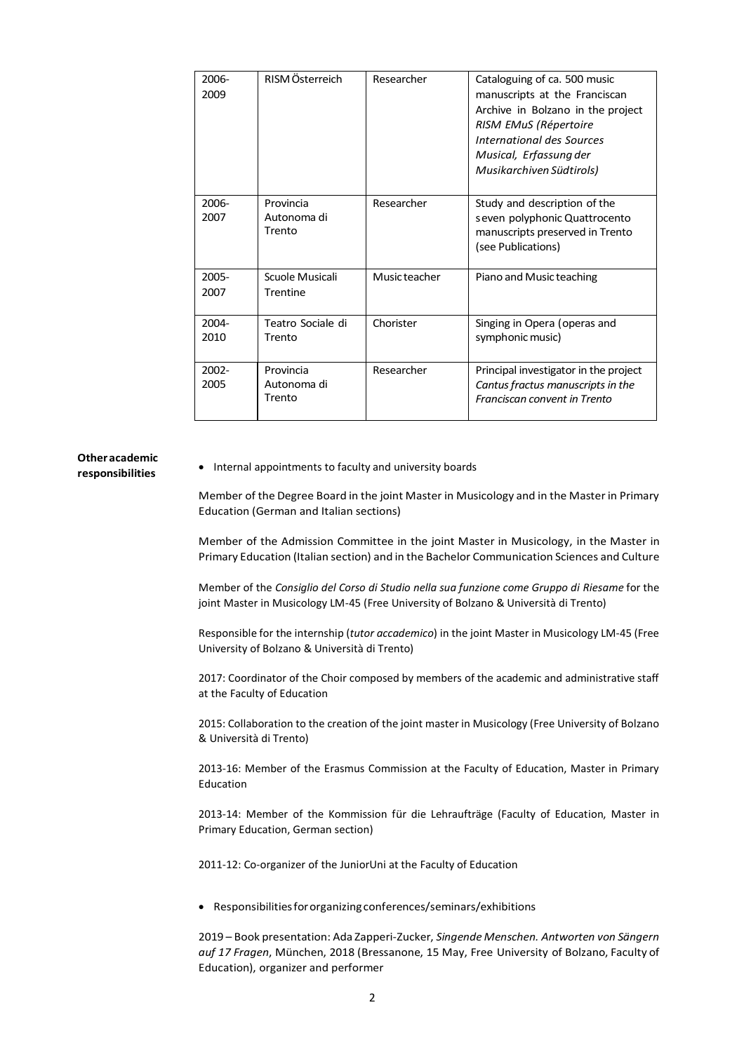| 2006-<br>2009    | RISM Österreich                    | Researcher    | Cataloguing of ca. 500 music<br>manuscripts at the Franciscan<br>Archive in Bolzano in the project<br>RISM EMuS (Répertoire<br>International des Sources<br>Musical, Erfassung der<br>Musikarchiven Südtirols) |
|------------------|------------------------------------|---------------|----------------------------------------------------------------------------------------------------------------------------------------------------------------------------------------------------------------|
| 2006-<br>2007    | Provincia<br>Autonoma di<br>Trento | Researcher    | Study and description of the<br>seven polyphonic Quattrocento<br>manuscripts preserved in Trento<br>(see Publications)                                                                                         |
| $2005 -$<br>2007 | Scuole Musicali<br>Trentine        | Music teacher | Piano and Music teaching                                                                                                                                                                                       |
| 2004-<br>2010    | Teatro Sociale di<br>Trento        | Chorister     | Singing in Opera (operas and<br>symphonic music)                                                                                                                                                               |
| $2002 -$<br>2005 | Provincia<br>Autonoma di<br>Trento | Researcher    | Principal investigator in the project<br>Cantus fractus manuscripts in the<br>Franciscan convent in Trento                                                                                                     |

## **Otheracademic**

**responsibilities** • Internal appointments to faculty and university boards

Member of the Degree Board in the joint Master in Musicology and in the Master in Primary Education (German and Italian sections)

Member of the Admission Committee in the joint Master in Musicology, in the Master in Primary Education (Italian section) and in the Bachelor Communication Sciences and Culture

Member of the *Consiglio del Corso di Studio nella sua funzione come Gruppo di Riesame* for the joint Master in Musicology LM-45 (Free University of Bolzano & Università di Trento)

Responsible for the internship (*tutor accademico*) in the joint Master in Musicology LM-45 (Free University of Bolzano & Università di Trento)

2017: Coordinator of the Choir composed by members of the academic and administrative staff at the Faculty of Education

2015: Collaboration to the creation of the joint master in Musicology (Free University of Bolzano & Università di Trento)

2013-16: Member of the Erasmus Commission at the Faculty of Education, Master in Primary Education

2013-14: Member of the Kommission für die Lehraufträge (Faculty of Education, Master in Primary Education, German section)

2011-12: Co-organizer of the JuniorUni at the Faculty of Education

• Responsibilitiesfororganizingconferences/seminars/exhibitions

2019 – Book presentation: Ada Zapperi-Zucker, *Singende Menschen. Antworten von Sängern auf 17 Fragen*, München, 2018 (Bressanone, 15 May, Free University of Bolzano, Faculty of Education), organizer and performer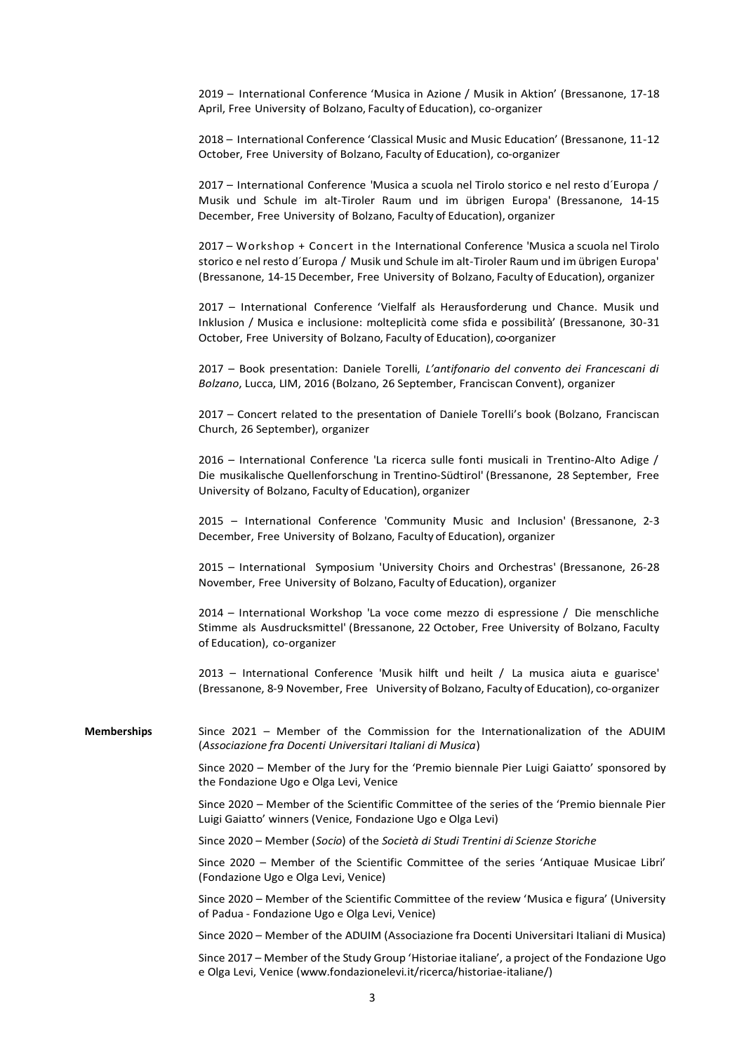2019 – International Conference 'Musica in Azione / Musik in Aktion' (Bressanone, 17-18 April, Free University of Bolzano, Faculty of Education), co-organizer

2018 – International Conference 'Classical Music and Music Education' (Bressanone, 11-12 October, Free University of Bolzano, Faculty of Education), co-organizer

2017 – International Conference 'Musica a scuola nel Tirolo storico e nel resto d´Europa / Musik und Schule im alt-Tiroler Raum und im übrigen Europa' (Bressanone, 14-15 December, Free University of Bolzano, Faculty of Education), organizer

2017 – Workshop + Concert in the International Conference 'Musica a scuola nel Tirolo storico e nel resto d´Europa / Musik und Schule im alt-Tiroler Raum und im übrigen Europa' (Bressanone, 14-15December, Free University of Bolzano, Faculty of Education), organizer

2017 – International Conference 'Vielfalf als Herausforderung und Chance. Musik und Inklusion / Musica e inclusione: molteplicità come sfida e possibilità' (Bressanone, 30-31 October, Free University of Bolzano, Faculty of Education), co-organizer

2017 – Book presentation: Daniele Torelli, *L'antifonario del convento dei Francescani di Bolzano*, Lucca, LIM, 2016 (Bolzano, 26 September, Franciscan Convent), organizer

2017 – Concert related to the presentation of Daniele Torelli's book (Bolzano, Franciscan Church, 26 September), organizer

2016 – International Conference 'La ricerca sulle fonti musicali in Trentino-Alto Adige / Die musikalische Quellenforschung in Trentino-Südtirol' (Bressanone, 28 September, Free University of Bolzano, Faculty of Education), organizer

2015 – International Conference 'Community Music and Inclusion' (Bressanone, 2-3 December, Free University of Bolzano, Faculty of Education), organizer

2015 – International Symposium 'University Choirs and Orchestras' (Bressanone, 26-28 November, Free University of Bolzano, Faculty of Education), organizer

2014 – International Workshop 'La voce come mezzo di espressione / Die menschliche Stimme als Ausdrucksmittel' (Bressanone, 22 October, Free University of Bolzano, Faculty of Education), co-organizer

2013 – International Conference 'Musik hilft und heilt / La musica aiuta e guarisce' (Bressanone, 8-9 November, Free University of Bolzano, Faculty of Education), co-organizer

**Memberships** Since 2021 – Member of the Commission for the Internationalization of the ADUIM (*Associazione fra Docenti Universitari Italiani di Musica*)

> Since 2020 – Member of the Jury for the 'Premio biennale Pier Luigi Gaiatto' sponsored by the Fondazione Ugo e Olga Levi, Venice

> Since 2020 – Member of the Scientific Committee of the series of the 'Premio biennale Pier Luigi Gaiatto' winners (Venice, Fondazione Ugo e Olga Levi)

Since 2020 – Member (*Socio*) of the *Società di Studi Trentini di Scienze Storiche*

Since 2020 – Member of the Scientific Committee of the series 'Antiquae Musicae Libri' (Fondazione Ugo e Olga Levi, Venice)

Since 2020 – Member of the Scientific Committee of the review 'Musica e figura' (University of Padua - Fondazione Ugo e Olga Levi, Venice)

Since 2020 – Member of the ADUIM (Associazione fra Docenti Universitari Italiani di Musica)

Since 2017 – Member of the Study Group 'Historiae italiane', a project of the Fondazione Ugo e Olga Levi, Venice (www.fondazionelevi.it/ricerca/historiae-italiane/)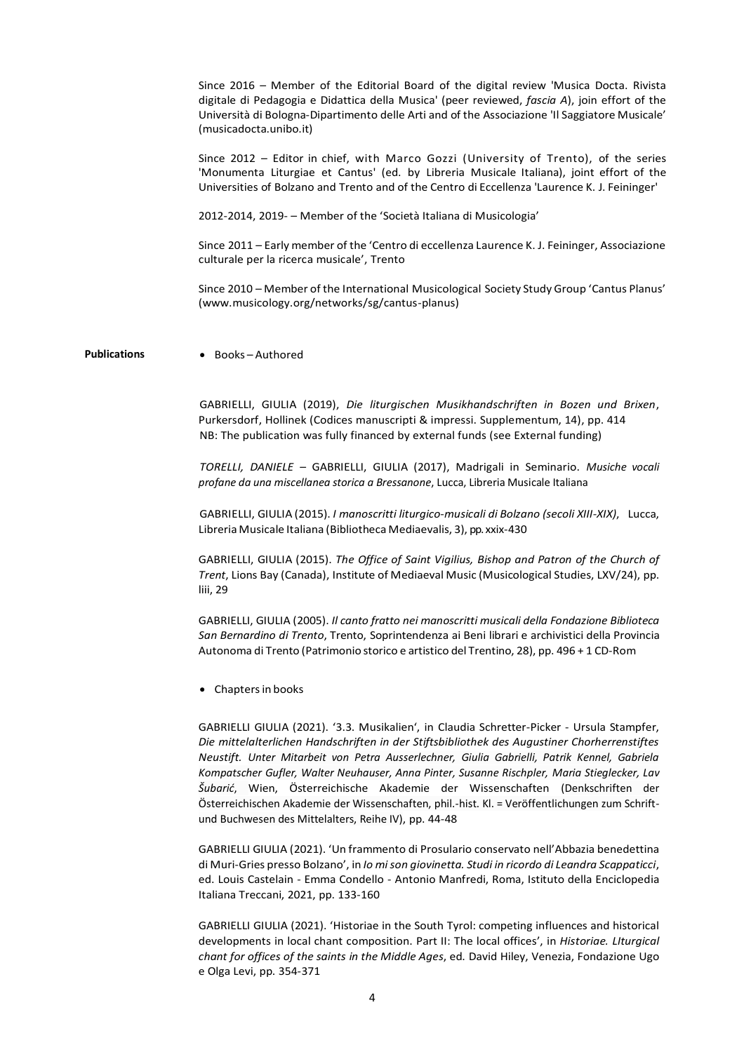Since 2016 – Member of the Editorial Board of the digital review 'Musica Docta. Rivista digitale di Pedagogia e Didattica della Musica' (peer reviewed, *fascia A*), join effort of the Università di Bologna-Dipartimento delle Arti and of the Associazione 'Il Saggiatore Musicale' (musicadocta.unibo.it) Since 2012 – Editor in chief, with Marco Gozzi (University of Trento), of the series 'Monumenta Liturgiae et Cantus' (ed. by Libreria Musicale Italiana), joint effort of the Universities of Bolzano and Trento and of the Centro di Eccellenza 'Laurence K. J. Feininger' 2012-2014, 2019- – Member of the 'Società Italiana di Musicologia' Since 2011 – Early member of the 'Centro di eccellenza Laurence K. J. Feininger, Associazione culturale per la ricerca musicale', Trento Since 2010 – Member of the International Musicological Society Study Group 'Cantus Planus' (www.musicology.org/networks/sg/cantus-planus) **Publications** • Books – Authored GABRIELLI, GIULIA (2019), *Die liturgischen Musikhandschriften in Bozen und Brixen*, Purkersdorf, Hollinek (Codices manuscripti & impressi. Supplementum, 14), pp. 414 NB: The publication was fully financed by external funds (see External funding) *TORELLI, DANIELE* – GABRIELLI, GIULIA (2017), Madrigali in Seminario. *Musiche vocali profane da una miscellanea storica a Bressanone*, Lucca, Libreria Musicale Italiana GABRIELLI, GIULIA (2015). *I manoscritti liturgico-musicali di Bolzano (secoli XIII-XIX)*, Lucca, Libreria Musicale Italiana (Bibliotheca Mediaevalis, 3), pp. xxix-430 GABRIELLI, GIULIA (2015). *The Office of Saint Vigilius, Bishop and Patron of the Church of Trent*, Lions Bay (Canada), Institute of Mediaeval Music (Musicological Studies, LXV/24), pp. liii, 29

> GABRIELLI, GIULIA (2005). *Il canto fratto nei manoscritti musicali della Fondazione Biblioteca San Bernardino di Trento*, Trento, Soprintendenza ai Beni librari e archivistici della Provincia Autonoma di Trento (Patrimonio storico e artistico del Trentino, 28), pp. 496 + 1 CD-Rom

• Chaptersin books

GABRIELLI GIULIA (2021). '3.3. Musikalien', in Claudia Schretter-Picker - Ursula Stampfer, *Die mittelalterlichen Handschriften in der Stiftsbibliothek des Augustiner Chorherrenstiftes Neustift. Unter Mitarbeit von Petra Ausserlechner, Giulia Gabrielli, Patrik Kennel, Gabriela Kompatscher Gufler, Walter Neuhauser, Anna Pinter, Susanne Rischpler, Maria Stieglecker, Lav Šubarić*, Wien, Österreichische Akademie der Wissenschaften (Denkschriften der Österreichischen Akademie der Wissenschaften, phil.-hist. Kl. = Veröffentlichungen zum Schriftund Buchwesen des Mittelalters, Reihe IV), pp. 44-48

GABRIELLI GIULIA (2021). 'Un frammento di Prosulario conservato nell'Abbazia benedettina di Muri-Gries presso Bolzano', in *Io mi son giovinetta. Studi in ricordo di Leandra Scappaticci*, ed. Louis Castelain - Emma Condello - Antonio Manfredi, Roma, Istituto della Enciclopedia Italiana Treccani, 2021, pp. 133-160

GABRIELLI GIULIA (2021). 'Historiae in the South Tyrol: competing influences and historical developments in local chant composition. Part II: The local offices', in *Historiae. LIturgical chant for offices of the saints in the Middle Ages*, ed. David Hiley, Venezia, Fondazione Ugo e Olga Levi, pp. 354-371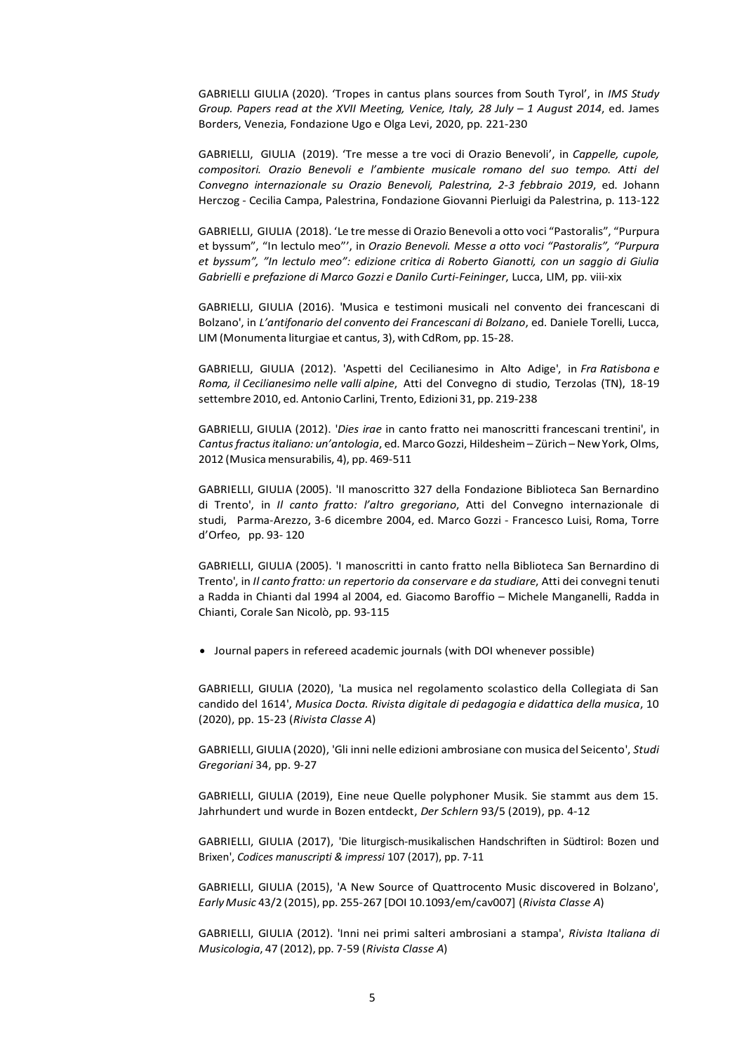GABRIELLI GIULIA (2020). 'Tropes in cantus plans sources from South Tyrol', in *IMS Study Group. Papers read at the XVII Meeting, Venice, Italy, 28 July – 1 August 2014*, ed. James Borders, Venezia, Fondazione Ugo e Olga Levi, 2020, pp. 221-230

GABRIELLI, GIULIA (2019). 'Tre messe a tre voci di Orazio Benevoli', in *Cappelle, cupole, compositori. Orazio Benevoli e l'ambiente musicale romano del suo tempo. Atti del Convegno internazionale su Orazio Benevoli, Palestrina, 2-3 febbraio 2019*, ed. Johann Herczog - Cecilia Campa, Palestrina, Fondazione Giovanni Pierluigi da Palestrina, p. 113-122

GABRIELLI, GIULIA (2018). 'Le tre messe di Orazio Benevoli a otto voci "Pastoralis", "Purpura et byssum", "In lectulo meo"', in *Orazio Benevoli. Messe a otto voci "Pastoralis", "Purpura et byssum", "In lectulo meo": edizione critica di Roberto Gianotti, con un saggio di Giulia Gabrielli e prefazione di Marco Gozzi e Danilo Curti-Feininger*, Lucca, LIM, pp. viii-xix

GABRIELLI, GIULIA (2016). 'Musica e testimoni musicali nel convento dei francescani di Bolzano', in *L'antifonario del convento dei Francescani di Bolzano*, ed. Daniele Torelli, Lucca, LIM (Monumenta liturgiae et cantus, 3), with CdRom, pp. 15-28.

GABRIELLI, GIULIA (2012). 'Aspetti del Cecilianesimo in Alto Adige', in *Fra Ratisbona e Roma, il Cecilianesimo nelle valli alpine*, Atti del Convegno di studio, Terzolas (TN), 18-19 settembre 2010, ed. Antonio Carlini, Trento, Edizioni 31, pp. 219-238

GABRIELLI, GIULIA (2012). '*Dies irae* in canto fratto nei manoscritti francescani trentini', in *Cantusfractusitaliano: un'antologia*, ed. MarcoGozzi, Hildesheim– Zürich –NewYork, Olms, 2012 (Musica mensurabilis, 4), pp. 469-511

GABRIELLI, GIULIA (2005). 'Il manoscritto 327 della Fondazione Biblioteca San Bernardino di Trento', in *Il canto fratto: l'altro gregoriano*, Atti del Convegno internazionale di studi, Parma-Arezzo, 3-6 dicembre 2004, ed. Marco Gozzi - Francesco Luisi, Roma, Torre d'Orfeo, pp. 93- 120

GABRIELLI, GIULIA (2005). 'I manoscritti in canto fratto nella Biblioteca San Bernardino di Trento', in *Il canto fratto: un repertorio da conservare e da studiare*, Atti dei convegni tenuti a Radda in Chianti dal 1994 al 2004, ed. Giacomo Baroffio – Michele Manganelli, Radda in Chianti, Corale San Nicolò, pp. 93-115

• Journal papers in refereed academic journals (with DOI whenever possible)

GABRIELLI, GIULIA (2020), 'La musica nel regolamento scolastico della Collegiata di San candido del 1614', *Musica Docta. Rivista digitale di pedagogia e didattica della musica*, 10 (2020), pp. 15-23 (*Rivista Classe A*)

GABRIELLI, GIULIA (2020), 'Gli inni nelle edizioni ambrosiane con musica del Seicento', *Studi Gregoriani* 34, pp. 9-27

GABRIELLI, GIULIA (2019), Eine neue Quelle polyphoner Musik. Sie stammt aus dem 15. Jahrhundert und wurde in Bozen entdeckt, *Der Schlern* 93/5 (2019), pp. 4-12

GABRIELLI, GIULIA (2017), 'Die liturgisch-musikalischen Handschriften in Südtirol: Bozen und Brixen', *Codices manuscripti & impressi* 107 (2017), pp. 7-11

GABRIELLI, GIULIA (2015), 'A New Source of Quattrocento Music discovered in Bolzano', *EarlyMusic* 43/2 (2015), pp. 255-267 [DOI 10.1093/em/cav007] (*Rivista Classe A*)

GABRIELLI, GIULIA (2012). 'Inni nei primi salteri ambrosiani a stampa', *Rivista Italiana di Musicologia*, 47 (2012), pp. 7-59 (*Rivista Classe A*)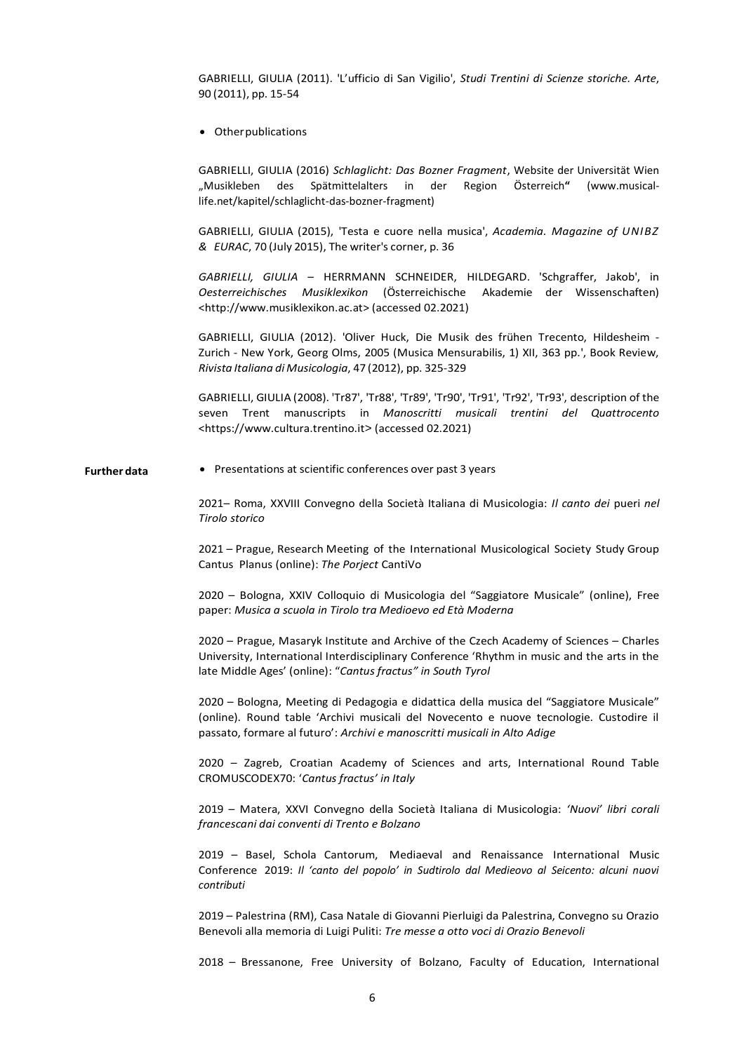GABRIELLI, GIULIA (2011). 'L'ufficio di San Vigilio', *Studi Trentini di Scienze storiche. Arte*, 90 (2011), pp. 15-54

• Otherpublications

GABRIELLI, GIULIA (2016) *Schlaglicht: Das Bozner Fragment*, Website der Universität Wien "Musikleben des Spätmittelalters in der Region Österreich**"** (www.musicallife.net/kapitel/schlaglicht-das-bozner-fragment)

GABRIELLI, GIULIA (2015), 'Testa e cuore nella musica', *Academia. Magazine of UNIBZ & EURAC*, 70 (July 2015), The writer's corner, p. 36

*GABRIELLI, GIULIA* – HERRMANN SCHNEIDER, HILDEGARD. 'Schgraffer, Jakob', in *Oesterreichisches Musiklexikon* (Österreichische Akademie der Wissenschaften) [<http://www.musiklexikon.ac.at>](http://www.musiklexikon.ac.at/) (accessed 02.2021)

GABRIELLI, GIULIA (2012). 'Oliver Huck, Die Musik des frühen Trecento, Hildesheim - Zurich - New York, Georg Olms, 2005 (Musica Mensurabilis, 1) XII, 363 pp.', Book Review, *Rivista Italiana di Musicologia*, 47 (2012), pp. 325-329

GABRIELLI, GIULIA (2008). 'Tr87', 'Tr88', 'Tr89', 'Tr90', 'Tr91', 'Tr92', 'Tr93', description of the seven Trent manuscripts in *Manoscritti musicali trentini del Quattrocento* <https://www.cultura.trentino.it> (accessed 02.2021)

**Further data** • Presentations at scientific conferences over past 3 years

2021– Roma, XXVIII Convegno della Società Italiana di Musicologia: *Il canto dei* pueri *nel Tirolo storico*

2021 – Prague, Research Meeting of the International Musicological Society Study Group Cantus Planus (online): *The Porject* CantiVo

2020 – Bologna, XXIV Colloquio di Musicologia del "Saggiatore Musicale" (online), Free paper: *Musica a scuola in Tirolo tra Medioevo ed Età Moderna*

2020 – Prague, Masaryk Institute and Archive of the Czech Academy of Sciences – Charles University, International Interdisciplinary Conference 'Rhythm in music and the arts in the late Middle Ages' (online): "*Cantus fractus" in South Tyrol*

2020 – Bologna, Meeting di Pedagogia e didattica della musica del "Saggiatore Musicale" (online). Round table 'Archivi musicali del Novecento e nuove tecnologie. Custodire il passato, formare al futuro': *Archivi e manoscritti musicali in Alto Adige*

2020 – Zagreb, Croatian Academy of Sciences and arts, International Round Table CROMUSCODEX70: '*Cantus fractus' in Italy*

2019 – Matera, XXVI Convegno della Società Italiana di Musicologia: *'Nuovi' libri corali francescani dai conventi di Trento e Bolzano*

2019 – Basel, Schola Cantorum, Mediaeval and Renaissance International Music Conference 2019: *Il 'canto del popolo' in Sudtirolo dal Medieovo al Seicento: alcuni nuovi contributi*

2019 – Palestrina (RM), Casa Natale di Giovanni Pierluigi da Palestrina, Convegno su Orazio Benevoli alla memoria di Luigi Puliti: *Tre messe a otto voci di Orazio Benevoli*

2018 – Bressanone, Free University of Bolzano, Faculty of Education, International